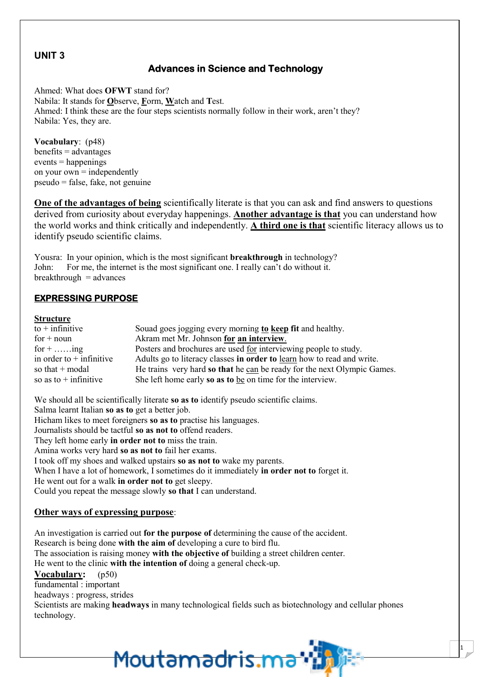### **UNIT 3**

### **Advances in Science and Technology**

Ahmed: What does **OFWT** stand for? Nabila: It stands for Observe, Form, Watch and Test. Ahmed: I think these are the four steps scientists normally follow in their work, aren't they? Nabila: Yes, they are.

Vocabulary:  $(p48)$  $b$ enefits = advantages  $events = happens$ on your own  $=$  independently  $pseudo = false$ , fake, not genuine

One of the advantages of being scientifically literate is that you can ask and find answers to questions derived from curiosity about everyday happenings. Another advantage is that you can understand how the world works and think critically and independently. A third one is that scientific literacy allows us to identify pseudo scientific claims.

Yousra: In your opinion, which is the most significant **breakthrough** in technology? John<sup>-</sup> For me, the internet is the most significant one. I really can't do without it.  $breakthrough = advances$ 

### **EXPRESSING PURPOSE**

### **Structure**

| $to +$ infinitive          | Souad goes jogging every morning to keep fit and healthy.               |
|----------------------------|-------------------------------------------------------------------------|
| $for + noun$               | Akram met Mr. Johnson for an interview.                                 |
| for $+$ ing                | Posters and brochures are used for interviewing people to study.        |
| in order to $+$ infinitive | Adults go to literacy classes in order to learn how to read and write.  |
| so that $+$ modal          | He trains very hard so that he can be ready for the next Olympic Games. |
| so as to $+$ infinitive    | She left home early so as to be on time for the interview.              |

We should all be scientifically literate so as to identify pseudo scientific claims. Salma learnt Italian so as to get a better job. Hicham likes to meet foreigners so as to practise his languages. Journalists should be tactful so as not to offend readers. They left home early in order not to miss the train. Amina works very hard so as not to fail her exams. I took off my shoes and walked upstairs so as not to wake my parents. When I have a lot of homework, I sometimes do it immediately in order not to forget it. He went out for a walk in order not to get sleepy. Could you repeat the message slowly so that I can understand.

### Other ways of expressing purpose:

An investigation is carried out for the purpose of determining the cause of the accident. Research is being done with the aim of developing a cure to bird flu. The association is raising money with the objective of building a street children center. He went to the clinic with the intention of doing a general check-up. Vocabulary:  $(p50)$ fundamental : important headways: progress, strides Scientists are making **headways** in many technological fields such as biotechnology and cellular phones technology.

Moutamadris.ma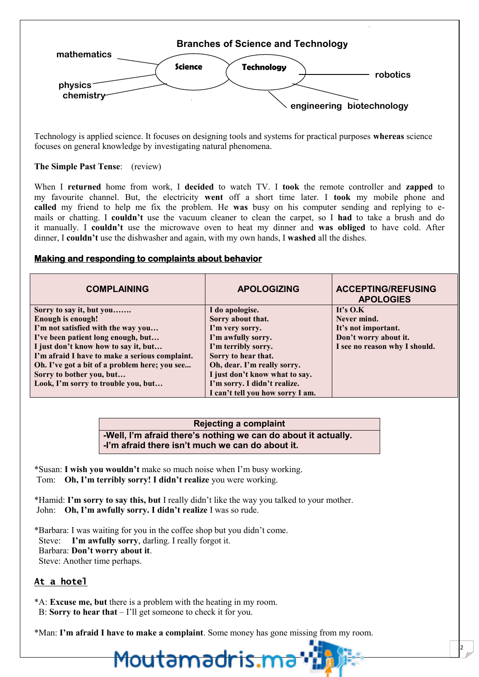

Technology is applied science. It focuses on designing tools and systems for practical purposes whereas science focuses on general knowledge by investigating natural phenomena.

### The Simple Past Tense: (review)

When I returned home from work, I decided to watch TV. I took the remote controller and zapped to my favourite channel. But, the electricity went off a short time later. I took my mobile phone and called my friend to help me fix the problem. He was busy on his computer sending and replying to emails or chatting. I couldn't use the vacuum cleaner to clean the carpet, so I had to take a brush and do it manually. I couldn't use the microwave oven to heat my dinner and was obliged to have cold. After dinner, I couldn't use the dishwasher and again, with my own hands, I washed all the dishes.

### Making and responding to complaints about behavior

| <b>COMPLAINING</b>                             | <b>APOLOGIZING</b>               | <b>ACCEPTING/REFUSING</b><br><b>APOLOGIES</b> |
|------------------------------------------------|----------------------------------|-----------------------------------------------|
| Sorry to say it, but you                       | I do apologise.                  | It's $O.K$                                    |
| <b>Enough is enough!</b>                       | Sorry about that.                | Never mind.                                   |
| I'm not satisfied with the way you             | I'm very sorry.                  | It's not important.                           |
| I've been patient long enough, but             | I'm awfully sorry.               | Don't worry about it.                         |
| I just don't know how to say it, but           | I'm terribly sorry.              | I see no reason why I should.                 |
| I'm afraid I have to make a serious complaint. | Sorry to hear that.              |                                               |
| Oh. I've got a bit of a problem here; you see  | Oh, dear. I'm really sorry.      |                                               |
| Sorry to bother you, but                       | I just don't know what to say.   |                                               |
| Look, I'm sorry to trouble you, but            | I'm sorry. I didn't realize.     |                                               |
|                                                | I can't tell vou how sorry I am. |                                               |

### **Rejecting a complaint** -Well, I'm afraid there's nothing we can do about it actually. -I'm afraid there  $\sin$ 't much we can do about it.

\*Susan: I wish you wouldn't make so much noise when I'm busy working. Tom: Oh, I'm terribly sorry! I didn't realize you were working.

\*Hamid: I'm sorry to say this, but I really didn't like the way you talked to your mother. John: Oh, I'm awfully sorry. I didn't realize I was so rude.

\*Barbara: I was waiting for you in the coffee shop but you didn't come. Steve: I'm awfully sorry, darling. I really forgot it. Barbara: Don't worry about it. Steve: Another time perhaps.

### At a hotel

\*A: Excuse me, but there is a problem with the heating in my room. B: Sorry to hear that  $-1$ 'll get someone to check it for you.

\*Man: I'm afraid I have to make a complaint. Some money has gone missing from my room.

## <u>Moutamadris.</u>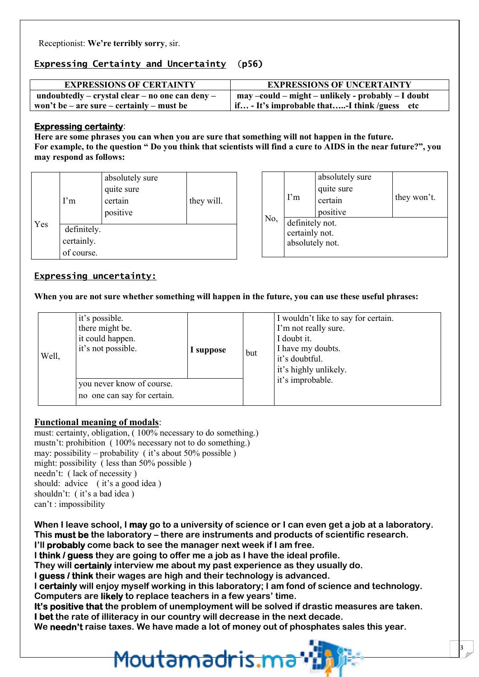Receptionist: We're terribly sorry, sir.

### Expressing Certainty and Uncertainty (p56)

| <b>EXPRESSIONS OF CERTAINTY</b>                 | <b>EXPRESSIONS OF UNCERTAINTY</b>                   |
|-------------------------------------------------|-----------------------------------------------------|
| undoubtedly – crystal clear – no one can deny – | may –could – might – unlikely - probably – I doubt  |
| won't be – are sure – certainly – must be       | $\int$ if - It's improbable that-I think /guess etc |

### **Expressing certainty:**

Here are some phrases you can when you are sure that something will not happen in the future. For example, to the question " Do you think that scientists will find a cure to AIDS in the near future?", you may respond as follows:

|     | $\Gamma$ m                              | absolutely sure<br>quite sure<br>certain<br>positive | they will. |
|-----|-----------------------------------------|------------------------------------------------------|------------|
| Yes | definitely.<br>certainly.<br>of course. |                                                      |            |

|     | $\Gamma$ m                                           | absolutely sure<br>quite sure<br>certain<br>positive | they won't. |
|-----|------------------------------------------------------|------------------------------------------------------|-------------|
| No, | definitely not.<br>certainly not.<br>absolutely not. |                                                      |             |

### **Expressing uncertainty:**

When you are not sure whether something will happen in the future, you can use these useful phrases:

| Well, | it's possible.<br>there might be.<br>it could happen.<br>it's not possible. | I suppose | but | I wouldn't like to say for certain.<br>I'm not really sure.<br>I doubt it.<br>I have my doubts.<br>it's doubtful.<br>it's highly unlikely. |
|-------|-----------------------------------------------------------------------------|-----------|-----|--------------------------------------------------------------------------------------------------------------------------------------------|
|       | you never know of course.<br>no one can say for certain.                    |           |     | it's improbable.                                                                                                                           |

### **Functional meaning of modals:**

must: certainty, obligation, (100% necessary to do something.) mustn't: prohibition (100% necessary not to do something.) may: possibility – probability (it's about 50% possible) might: possibility (less than  $50\%$  possible) needn't: (lack of necessity) should: advice (it's a good idea) shouldn't: (it's a bad idea) can't: impossibility

When I leave school, I may go to a university of science or I can even get a job at a laboratory. This must be the laboratory – there are instruments and products of scientific research. I'll probably come back to see the manager next week if I am free.

I think / quess they are going to offer me a job as I have the ideal profile.

They will certainly interview me about my past experience as they usually do.

I guess / think their wages are high and their technology is advanced.

I certainly will enjoy myself working in this laboratory; I am fond of science and technology. Computers are likely to replace teachers in a few years' time.

It's positive that the problem of unemployment will be solved if drastic measures are taken. I bet the rate of illiteracy in our country will decrease in the next decade.

We needn't raise taxes. We have made a lot of money out of phosphates sales this year.

# <u>Moutamadris.ma</u>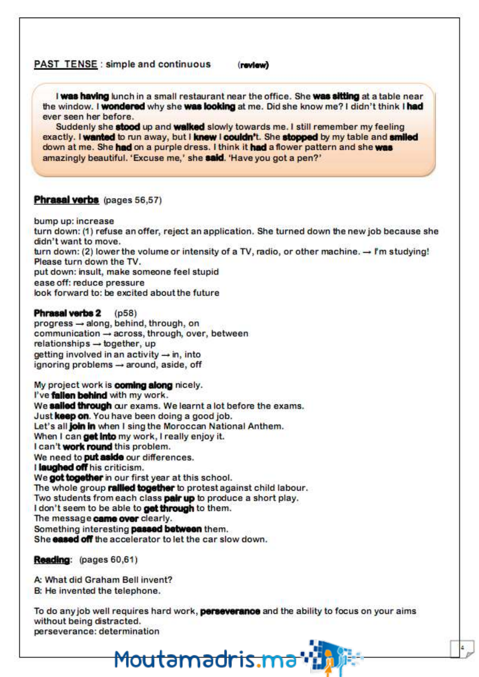#### **PAST TENSE:** simple and continuous (review)

I was having lunch in a small restaurant near the office. She was sitting at a table near the window. I wondered why she was looking at me. Did she know me? I didn't think I had ever seen her before.

Suddenly she stood up and walked slowly towards me. I still remember my feeling exactly. I wanted to run away, but I knew I couldn't. She stopped by my table and smiled down at me. She had on a purple dress. I think it had a flower pattern and she was amazingly beautiful. 'Excuse me,' she said. 'Have you got a pen?'

### Phrasal verbs (pages 56,57)

bump up: increase

turn down: (1) refuse an offer, reject an application. She turned down the new job because she didn't want to move. turn down: (2) lower the volume or intensity of a TV, radio, or other machine.  $\rightarrow$  I'm studying! Please turn down the TV.

put down: insult, make someone feel stupid

ease off: reduce pressure

look forward to: be excited about the future

Phrasal verbs 2  $(p58)$ progress - along, behind, through, on communication → across, through, over, between relationships - together, up getting involved in an activity  $\rightarrow$  in, into ignoring problems - around, aside, off

My project work is coming along nicely. I've fallen behind with my work. We sailed through our exams. We learnt a lot before the exams. Just keep on. You have been doing a good job. Let's all join in when I sing the Moroccan National Anthem. When I can get into my work, I really enjoy it. I can't work round this problem. We need to **put aside** our differences. I laughed off his criticism. We got together in our first year at this school. The whole group railled together to protest against child labour. Two students from each class pair up to produce a short play. I don't seem to be able to get through to them. The message came over clearly. Something interesting passed between them. She eased off the accelerator to let the car slow down.

### **Reading:** (pages 60,61)

A: What did Graham Bell invent? B: He invented the telephone.

To do any job well requires hard work, **perseverance** and the ability to focus on your aims without being distracted. perseverance: determination

<u>Moutamadris.ma</u>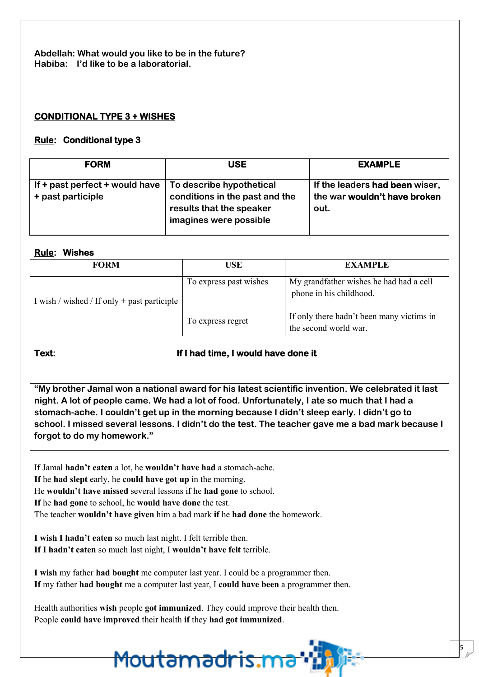**Abdellah: What would you like to be in the future? Habiba: I'd like to be a laboratorial.**

### **CONDITIONAL TYPE 3 + WISHES**

### **Rule: Conditional type 3**

| <b>FORM</b>                                                                              | <b>USE</b>                                                                           | <b>EXAMPLE</b>                                                         |
|------------------------------------------------------------------------------------------|--------------------------------------------------------------------------------------|------------------------------------------------------------------------|
| If $+$ past perfect $+$ would have $\vert$ To describe hypothetical<br>+ past participle | conditions in the past and the<br>results that the speaker<br>imagines were possible | If the leaders had been wiser,<br>the war wouldn't have broken<br>out. |

### **Rule: Wishes**

| <b>FORM</b>                                 | USE                    | <b>EXAMPLE</b>                                                     |
|---------------------------------------------|------------------------|--------------------------------------------------------------------|
| I wish / wished / If only + past participle | To express past wishes | My grandfather wishes he had had a cell<br>phone in his childhood. |
|                                             | To express regret      | If only there hadn't been many victims in<br>the second world war. |

### **Text: If I had time, I would have done it**

**"My brother Jamal won a national award for his latest scientific invention. We celebrated it last night. A lot of people came. We had a lot of food. Unfortunately, I ate so much that I had a stomach-ache. I couldn't get up in the morning because I didn't sleep early. I didn't go to school. I missed several lessons. I didn't do the test. The teacher gave me a bad mark because I forgot to do my homework."**

5

I**f** Jamal **hadn't eaten** a lot, he **wouldn't have had** a stomach-ache. **If** he **had slept** early, he **could have got up** in the morning. He **wouldn't have missed** several lessons i**f** he **had gone** to school. **If** he **had gone** to school, he **would have done** the test. The teacher **wouldn't have given** him a bad mark **if** he **had done** the homework.

**I wish I hadn't eaten** so much last night. I felt terrible then. **If I hadn't eaten** so much last night, I **wouldn't have felt** terrible.

**I wish** my father **had bought** me computer last year. I could be a programmer then. **If** my father **had bought** me a computer last year, I **could have been** a programmer then.

Health authorities **wish** people **got immunized**. They could improve their health then. People **could have improved** their health **if** they **had got immunized**.

<u>Moutamadris.ma</u>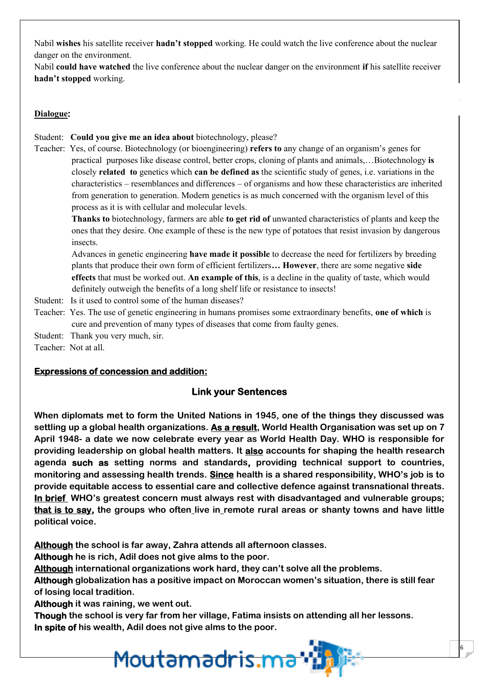Nabil **wishes** his satellite receiver **hadn't stopped** working. He could watch the live conference about the nuclear danger on the environment.

Nabil **could have watched** the live conference about the nuclear danger on the environment **if** his satellite receiver **hadn't stopped** working.

### **Dialogue:**

### Student: **Could you give me an idea about** biotechnology, please?

Teacher: Yes, of course. Biotechnology (or bioengineering) **refers to** any change of an organism's genes for practical purposes like disease control, better crops, cloning of plants and animals,…Biotechnology **is** closely **related to** genetics which **can be defined as** the scientific study of genes, i.e. variations in the characteristics – resemblances and differences – of organisms and how these characteristics are inherited from generation to generation. Modern genetics is as much concerned with the organism level of this process as it is with cellular and molecular levels.

**Thanks to** biotechnology, farmers are able **to get rid of** unwanted characteristics of plants and keep the ones that they desire. One example of these is the new type of potatoes that resist invasion by dangerous insects.

Advances in genetic engineering **have made it possible** to decrease the need for fertilizers by breeding plants that produce their own form of efficient fertilizers**… However**, there are some negative **side effects** that must be worked out. **An example of this**, is a decline in the quality of taste, which would definitely outweigh the benefits of a long shelf life or resistance to insects!

Student: Is it used to control some of the human diseases?

Teacher: Yes. The use of genetic engineering in humans promises some extraordinary benefits, **one of which** is cure and prevention of many types of diseases that come from faulty genes.

Student: Thank you very much, sir.

Teacher: Not at all.

### **Expressions of concession and addition:**

### **Link your Sentences**

**When diplomats met to form the United Nations in 1945, one of the things they discussed was settling up a global health organizations. As a result, World Health Organisation was set up on 7 April 1948- a date we now celebrate every year as World Health Day. WHO is responsible for providing leadership on global health matters. It also accounts for shaping the health research agenda such as setting norms and standards, providing technical support to countries, monitoring and assessing health trends. Since health is a shared responsibility, WHO's job is to provide equitable access to essential care and collective defence against transnational threats. In brief WHO's greatest concern must always rest with disadvantaged and vulnerable groups; that is to say, the groups who often live in remote rural areas or shanty towns and have little political voice.**

**Although the school is far away, Zahra attends all afternoon classes.**

**Although he is rich, Adil does not give alms to the poor.**

**Although international organizations work hard, they can't solve all the problems.**

<u>Moutamadris.ma</u>

**Although globalization has a positive impact on Moroccan women's situation, there is still fear of losing local tradition.**

6

**Although it was raining, we went out.**

**Though the school is very far from her village, Fatima insists on attending all her lessons. In spite of his wealth, Adil does not give alms to the poor.**